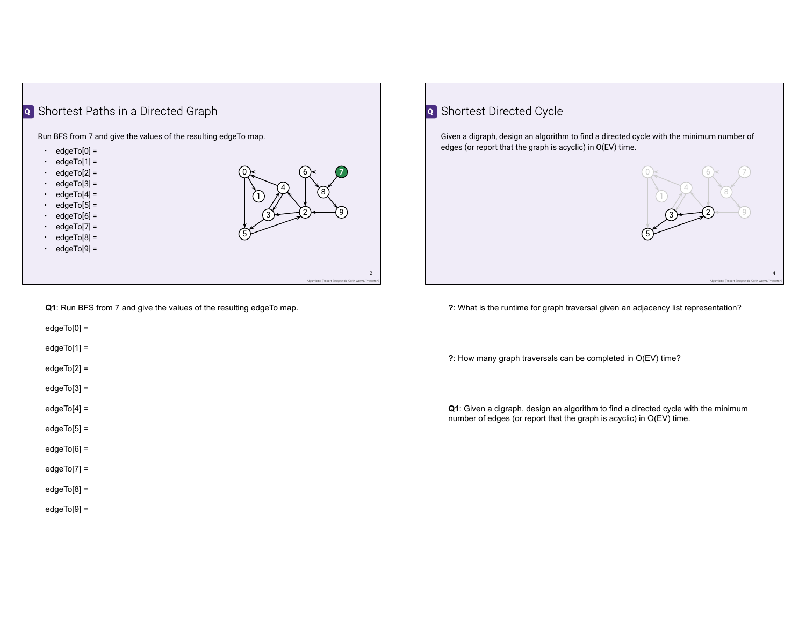

**Q1**: Run BFS from 7 and give the values of the resulting edgeTo map.

edgeTo[0] =

 $edgeTo[1] =$ 

- edgeTo[2] =
- edgeTo[3] =
- $edgeTo[4] =$
- edgeTo[5] =
- edgeTo[6] =
- edgeTo[7] =
- edgeTo[8] =
- edgeTo[9] =

## **Q** Shortest Directed Cycle

Given a digraph, design an algorithm to find a directed cycle with the minimum number of edges (or report that the graph is acyclic) in O(EV) time.

 $0 \ge$ 

5)-

1)

3)≁

4

 $6 \leftarrow (7)$ 8

2)-

9).



4

**?**: How many graph traversals can be completed in O(EV) time?

**Q1**: Given a digraph, design an algorithm to find a directed cycle with the minimum number of edges (or report that the graph is acyclic) in O(EV) time.